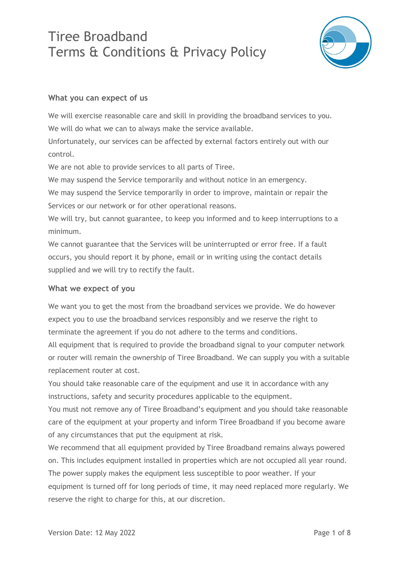

#### **What you can expect of us**

We will exercise reasonable care and skill in providing the broadband services to you. We will do what we can to always make the service available.

Unfortunately, our services can be affected by external factors entirely out with our control.

We are not able to provide services to all parts of Tiree.

We may suspend the Service temporarily and without notice in an emergency.

We may suspend the Service temporarily in order to improve, maintain or repair the Services or our network or for other operational reasons.

We will try, but cannot guarantee, to keep you informed and to keep interruptions to a minimum.

We cannot guarantee that the Services will be uninterrupted or error free. If a fault occurs, you should report it by phone, email or in writing using the contact details supplied and we will try to rectify the fault.

#### **What we expect of you**

We want you to get the most from the broadband services we provide. We do however expect you to use the broadband services responsibly and we reserve the right to terminate the agreement if you do not adhere to the terms and conditions.

All equipment that is required to provide the broadband signal to your computer network or router will remain the ownership of Tiree Broadband. We can supply you with a suitable replacement router at cost.

You should take reasonable care of the equipment and use it in accordance with any instructions, safety and security procedures applicable to the equipment.

You must not remove any of Tiree Broadband's equipment and you should take reasonable care of the equipment at your property and inform Tiree Broadband if you become aware of any circumstances that put the equipment at risk.

We recommend that all equipment provided by Tiree Broadband remains always powered on. This includes equipment installed in properties which are not occupied all year round. The power supply makes the equipment less susceptible to poor weather. If your equipment is turned off for long periods of time, it may need replaced more regularly. We reserve the right to charge for this, at our discretion.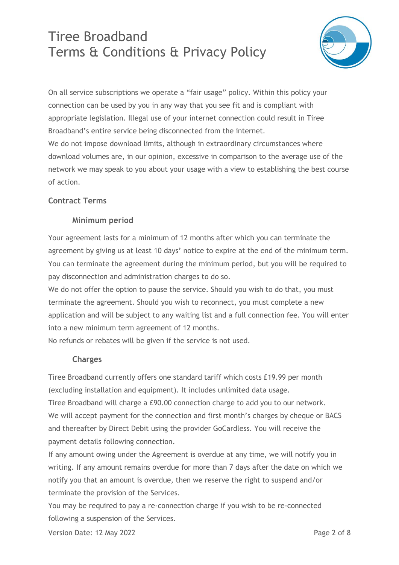

On all service subscriptions we operate a "fair usage" policy. Within this policy your connection can be used by you in any way that you see fit and is compliant with appropriate legislation. Illegal use of your internet connection could result in Tiree Broadband's entire service being disconnected from the internet. We do not impose download limits, although in extraordinary circumstances where download volumes are, in our opinion, excessive in comparison to the average use of the network we may speak to you about your usage with a view to establishing the best course

### **Contract Terms**

of action.

#### **Minimum period**

Your agreement lasts for a minimum of 12 months after which you can terminate the agreement by giving us at least 10 days' notice to expire at the end of the minimum term. You can terminate the agreement during the minimum period, but you will be required to pay disconnection and administration charges to do so.

We do not offer the option to pause the service. Should you wish to do that, you must terminate the agreement. Should you wish to reconnect, you must complete a new application and will be subject to any waiting list and a full connection fee. You will enter into a new minimum term agreement of 12 months.

No refunds or rebates will be given if the service is not used.

#### **Charges**

Tiree Broadband currently offers one standard tariff which costs £19.99 per month (excluding installation and equipment). It includes unlimited data usage. Tiree Broadband will charge a £90.00 connection charge to add you to our network. We will accept payment for the connection and first month's charges by cheque or BACS and thereafter by Direct Debit using the provider GoCardless. You will receive the payment details following connection.

If any amount owing under the Agreement is overdue at any time, we will notify you in writing. If any amount remains overdue for more than 7 days after the date on which we notify you that an amount is overdue, then we reserve the right to suspend and/or terminate the provision of the Services.

You may be required to pay a re-connection charge if you wish to be re-connected following a suspension of the Services.

Version Date: 12 May 2022 **Page 2 of 8** Page 2 of 8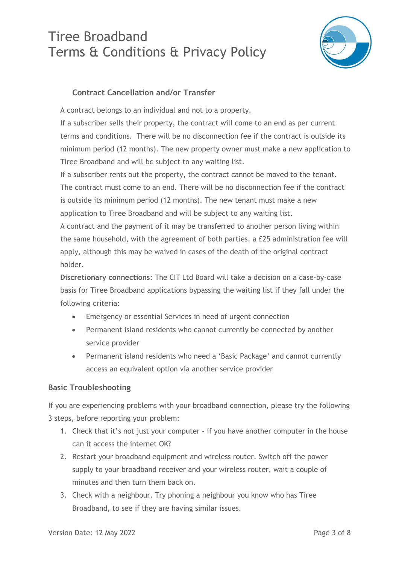

#### **Contract Cancellation and/or Transfer**

A contract belongs to an individual and not to a property.

If a subscriber sells their property, the contract will come to an end as per current terms and conditions. There will be no disconnection fee if the contract is outside its minimum period (12 months). The new property owner must make a new application to Tiree Broadband and will be subject to any waiting list.

If a subscriber rents out the property, the contract cannot be moved to the tenant. The contract must come to an end. There will be no disconnection fee if the contract is outside its minimum period (12 months). The new tenant must make a new application to Tiree Broadband and will be subject to any waiting list.

A contract and the payment of it may be transferred to another person living within the same household, with the agreement of both parties. a £25 administration fee will apply, although this may be waived in cases of the death of the original contract holder.

**Discretionary connections**: The CIT Ltd Board will take a decision on a case-by-case basis for Tiree Broadband applications bypassing the waiting list if they fall under the following criteria:

- Emergency or essential Services in need of urgent connection
- Permanent island residents who cannot currently be connected by another service provider
- Permanent island residents who need a 'Basic Package' and cannot currently access an equivalent option via another service provider

#### **Basic Troubleshooting**

If you are experiencing problems with your broadband connection, please try the following 3 steps, before reporting your problem:

- 1. Check that it's not just your computer if you have another computer in the house can it access the internet OK?
- 2. Restart your broadband equipment and wireless router. Switch off the power supply to your broadband receiver and your wireless router, wait a couple of minutes and then turn them back on.
- 3. Check with a neighbour. Try phoning a neighbour you know who has Tiree Broadband, to see if they are having similar issues.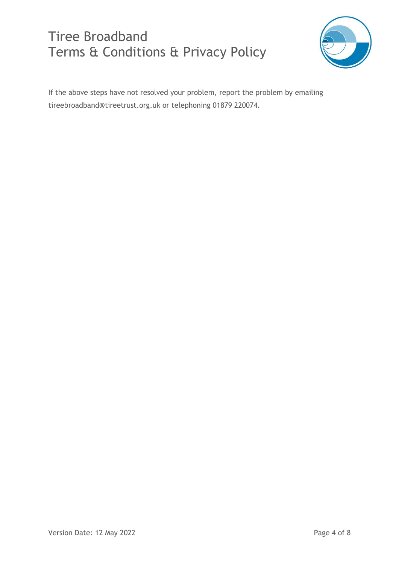

If the above steps have not resolved your problem, report the problem by emailing [tireebroadband@tireetrust.org.uk](mailto:tireebroadband@tireetrust.org.uk) or telephoning 01879 220074.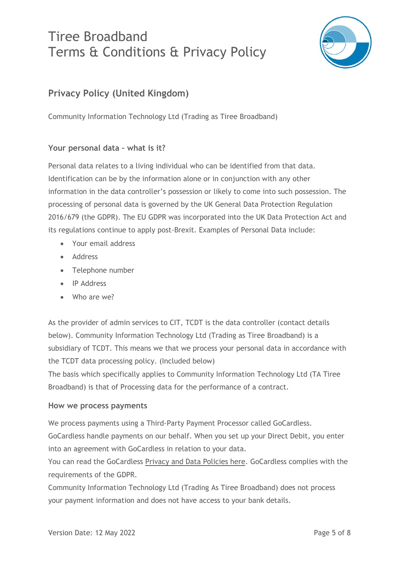

### **Privacy Policy (United Kingdom)**

Community Information Technology Ltd (Trading as Tiree Broadband)

#### **Your personal data – what is it?**

Personal data relates to a living individual who can be identified from that data. Identification can be by the information alone or in conjunction with any other information in the data controller's possession or likely to come into such possession. The processing of personal data is governed by the UK General Data Protection Regulation 2016/679 (the GDPR). The EU GDPR was incorporated into the UK Data Protection Act and its regulations continue to apply post-Brexit. Examples of Personal Data include:

- Your email address
- Address
- Telephone number
- IP Address
- Who are we?

As the provider of admin services to CIT, TCDT is the data controller (contact details below). Community Information Technology Ltd (Trading as Tiree Broadband) is a subsidiary of TCDT. This means we that we process your personal data in accordance with the TCDT data processing policy. (Included below)

The basis which specifically applies to Community Information Technology Ltd (TA Tiree Broadband) is that of Processing data for the performance of a contract.

#### **How we process payments**

We process payments using a Third-Party Payment Processor called GoCardless.

GoCardless handle payments on our behalf. When you set up your Direct Debit, you enter into an agreement with GoCardless in relation to your data.

You can read the GoCardless [Privacy and Data Policies here.](https://support.gocardless.com/hc/en-gb/articles/360000281005-GoCardless-and-GDPR) GoCardless complies with the requirements of the GDPR.

Community Information Technology Ltd (Trading As Tiree Broadband) does not process your payment information and does not have access to your bank details.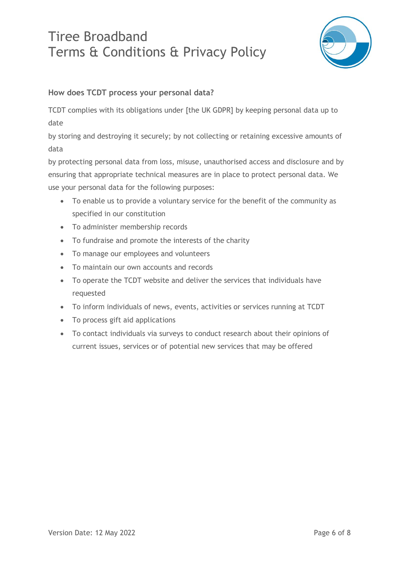

#### **How does TCDT process your personal data?**

TCDT complies with its obligations under [the UK GDPR] by keeping personal data up to date

by storing and destroying it securely; by not collecting or retaining excessive amounts of data

by protecting personal data from loss, misuse, unauthorised access and disclosure and by ensuring that appropriate technical measures are in place to protect personal data. We use your personal data for the following purposes:

- To enable us to provide a voluntary service for the benefit of the community as specified in our constitution
- To administer membership records
- To fundraise and promote the interests of the charity
- To manage our employees and volunteers
- To maintain our own accounts and records
- To operate the TCDT website and deliver the services that individuals have requested
- To inform individuals of news, events, activities or services running at TCDT
- To process gift aid applications
- To contact individuals via surveys to conduct research about their opinions of current issues, services or of potential new services that may be offered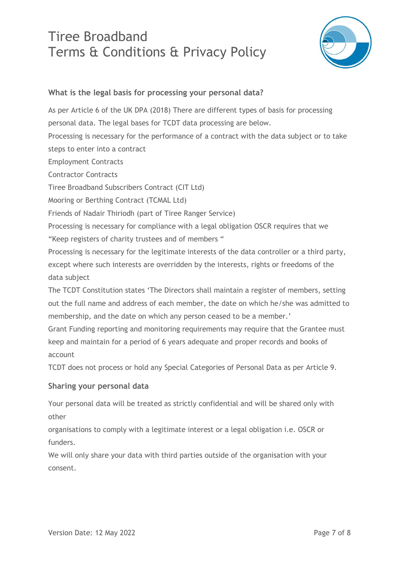

#### **What is the legal basis for processing your personal data?**

As per Article 6 of the UK DPA (2018) There are different types of basis for processing personal data. The legal bases for TCDT data processing are below. Processing is necessary for the performance of a contract with the data subject or to take steps to enter into a contract Employment Contracts Contractor Contracts Tiree Broadband Subscribers Contract (CIT Ltd) Mooring or Berthing Contract (TCMAL Ltd) Friends of Nadair Thiriodh (part of Tiree Ranger Service) Processing is necessary for compliance with a legal obligation OSCR requires that we "Keep registers of charity trustees and of members " Processing is necessary for the legitimate interests of the data controller or a third party, except where such interests are overridden by the interests, rights or freedoms of the data subject The TCDT Constitution states 'The Directors shall maintain a register of members, setting out the full name and address of each member, the date on which he/she was admitted to membership, and the date on which any person ceased to be a member.' Grant Funding reporting and monitoring requirements may require that the Grantee must keep and maintain for a period of 6 years adequate and proper records and books of account

TCDT does not process or hold any Special Categories of Personal Data as per Article 9.

#### **Sharing your personal data**

Your personal data will be treated as strictly confidential and will be shared only with other

organisations to comply with a legitimate interest or a legal obligation i.e. OSCR or funders.

We will only share your data with third parties outside of the organisation with your consent.